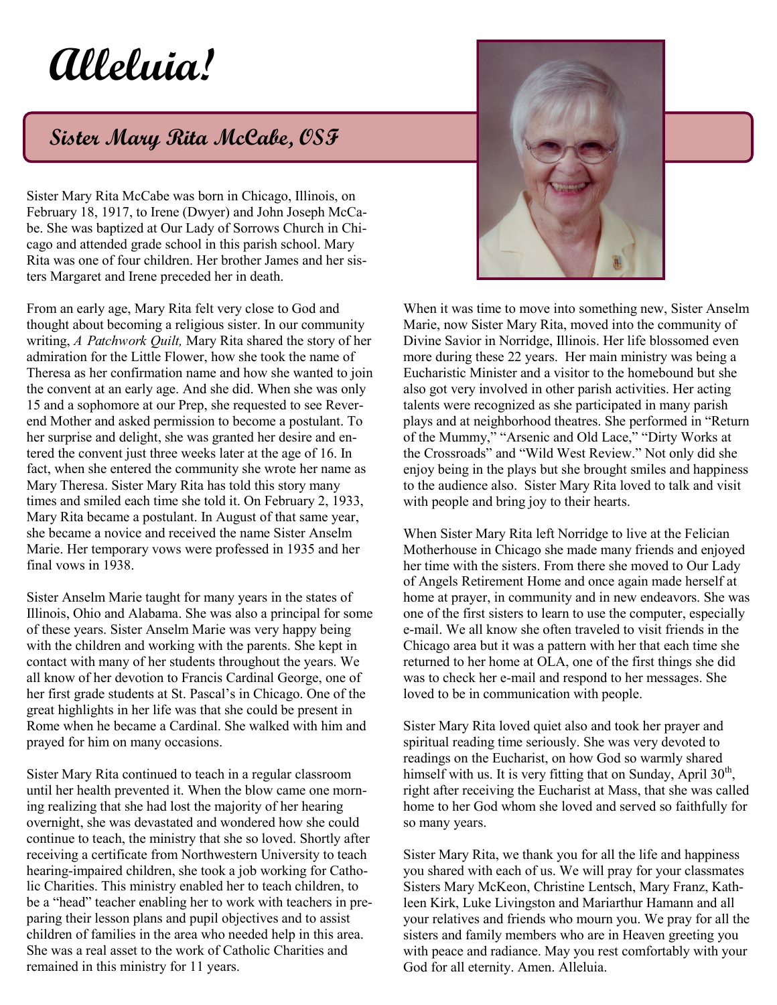## **Alleluia!**

## **Sister Mary Rita McCabe, OSF**

Sister Mary Rita McCabe was born in Chicago, Illinois, on February 18, 1917, to Irene (Dwyer) and John Joseph McCabe. She was baptized at Our Lady of Sorrows Church in Chicago and attended grade school in this parish school. Mary Rita was one of four children. Her brother James and her sisters Margaret and Irene preceded her in death.

From an early age, Mary Rita felt very close to God and thought about becoming a religious sister. In our community writing, *A Patchwork Quilt,* Mary Rita shared the story of her admiration for the Little Flower, how she took the name of Theresa as her confirmation name and how she wanted to join the convent at an early age. And she did. When she was only 15 and a sophomore at our Prep, she requested to see Reverend Mother and asked permission to become a postulant. To her surprise and delight, she was granted her desire and entered the convent just three weeks later at the age of 16. In fact, when she entered the community she wrote her name as Mary Theresa. Sister Mary Rita has told this story many times and smiled each time she told it. On February 2, 1933, Mary Rita became a postulant. In August of that same year, she became a novice and received the name Sister Anselm Marie. Her temporary vows were professed in 1935 and her final vows in 1938.

Sister Anselm Marie taught for many years in the states of Illinois, Ohio and Alabama. She was also a principal for some of these years. Sister Anselm Marie was very happy being with the children and working with the parents. She kept in contact with many of her students throughout the years. We all know of her devotion to Francis Cardinal George, one of her first grade students at St. Pascal's in Chicago. One of the great highlights in her life was that she could be present in Rome when he became a Cardinal. She walked with him and prayed for him on many occasions.

Sister Mary Rita continued to teach in a regular classroom until her health prevented it. When the blow came one morning realizing that she had lost the majority of her hearing overnight, she was devastated and wondered how she could continue to teach, the ministry that she so loved. Shortly after receiving a certificate from Northwestern University to teach hearing-impaired children, she took a job working for Catholic Charities. This ministry enabled her to teach children, to be a "head" teacher enabling her to work with teachers in preparing their lesson plans and pupil objectives and to assist children of families in the area who needed help in this area. She was a real asset to the work of Catholic Charities and remained in this ministry for 11 years.



When it was time to move into something new, Sister Anselm Marie, now Sister Mary Rita, moved into the community of Divine Savior in Norridge, Illinois. Her life blossomed even more during these 22 years. Her main ministry was being a Eucharistic Minister and a visitor to the homebound but she also got very involved in other parish activities. Her acting talents were recognized as she participated in many parish plays and at neighborhood theatres. She performed in "Return of the Mummy," "Arsenic and Old Lace," "Dirty Works at the Crossroads" and "Wild West Review." Not only did she enjoy being in the plays but she brought smiles and happiness to the audience also. Sister Mary Rita loved to talk and visit with people and bring joy to their hearts.

When Sister Mary Rita left Norridge to live at the Felician Motherhouse in Chicago she made many friends and enjoyed her time with the sisters. From there she moved to Our Lady of Angels Retirement Home and once again made herself at home at prayer, in community and in new endeavors. She was one of the first sisters to learn to use the computer, especially e-mail. We all know she often traveled to visit friends in the Chicago area but it was a pattern with her that each time she returned to her home at OLA, one of the first things she did was to check her e-mail and respond to her messages. She loved to be in communication with people.

Sister Mary Rita loved quiet also and took her prayer and spiritual reading time seriously. She was very devoted to readings on the Eucharist, on how God so warmly shared himself with us. It is very fitting that on Sunday, April  $30<sup>th</sup>$ , right after receiving the Eucharist at Mass, that she was called home to her God whom she loved and served so faithfully for so many years.

Sister Mary Rita, we thank you for all the life and happiness you shared with each of us. We will pray for your classmates Sisters Mary McKeon, Christine Lentsch, Mary Franz, Kathleen Kirk, Luke Livingston and Mariarthur Hamann and all your relatives and friends who mourn you. We pray for all the sisters and family members who are in Heaven greeting you with peace and radiance. May you rest comfortably with your God for all eternity. Amen. Alleluia.